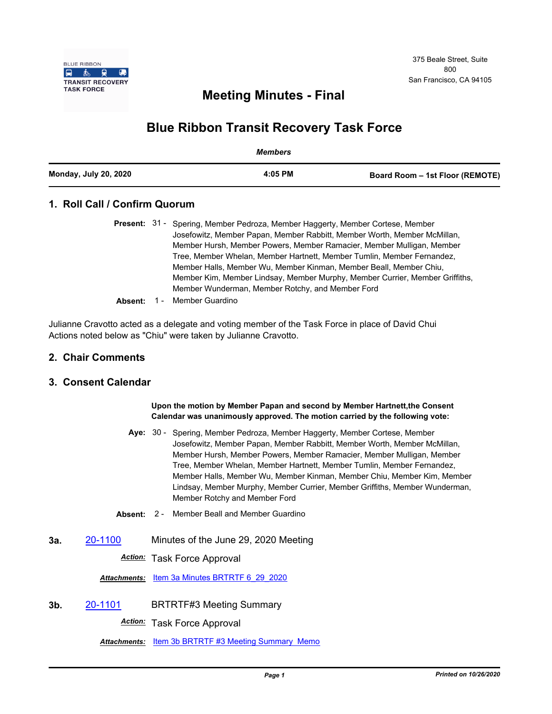

# **Meeting Minutes - Final**

# **Blue Ribbon Transit Recovery Task Force**

|                              | Members |                                 |
|------------------------------|---------|---------------------------------|
| <b>Monday, July 20, 2020</b> | 4:05 PM | Board Room – 1st Floor (REMOTE) |

# **1. Roll Call / Confirm Quorum**

|  | <b>Present:</b> 31 - Spering, Member Pedroza, Member Haggerty, Member Cortese, Member |  |
|--|---------------------------------------------------------------------------------------|--|
|  | Josefowitz, Member Papan, Member Rabbitt, Member Worth, Member McMillan,              |  |
|  | Member Hursh, Member Powers, Member Ramacier, Member Mulligan, Member                 |  |
|  | Tree, Member Whelan, Member Hartnett, Member Tumlin, Member Fernandez,                |  |
|  | Member Halls, Member Wu, Member Kinman, Member Beall, Member Chiu,                    |  |
|  | Member Kim, Member Lindsay, Member Murphy, Member Currier, Member Griffiths,          |  |
|  | Member Wunderman, Member Rotchy, and Member Ford                                      |  |
|  |                                                                                       |  |

**Absent:** 1 - Member Guardino

Julianne Cravotto acted as a delegate and voting member of the Task Force in place of David Chui Actions noted below as "Chiu" were taken by Julianne Cravotto.

### **2. Chair Comments**

## **3. Consent Calendar**

#### **Upon the motion by Member Papan and second by Member Hartnett,the Consent Calendar was unanimously approved. The motion carried by the following vote:**

- Aye: 30 Spering, Member Pedroza, Member Haggerty, Member Cortese, Member Josefowitz, Member Papan, Member Rabbitt, Member Worth, Member McMillan, Member Hursh, Member Powers, Member Ramacier, Member Mulligan, Member Tree, Member Whelan, Member Hartnett, Member Tumlin, Member Fernandez, Member Halls, Member Wu, Member Kinman, Member Chiu, Member Kim, Member Lindsay, Member Murphy, Member Currier, Member Griffiths, Member Wunderman, Member Rotchy and Member Ford
- **Absent:** 2 Member Beall and Member Guardino
- **3a.** [20-1100](http://mtc.legistar.com/gateway.aspx?m=l&id=/matter.aspx?key=20965) Minutes of the June 29, 2020 Meeting

*Action:* Task Force Approval

*Attachments:* [Item 3a Minutes BRTRTF 6\\_29\\_2020](http://mtc.legistar.com/gateway.aspx?M=F&ID=da53e617-4980-4fc8-8963-5c0907a05846.pdf)

**3b.** [20-1101](http://mtc.legistar.com/gateway.aspx?m=l&id=/matter.aspx?key=20966) BRTRTF#3 Meeting Summary

*Action:* Task Force Approval

Attachments: [Item 3b BRTRTF #3 Meeting Summary Memo](http://mtc.legistar.com/gateway.aspx?M=F&ID=507689a6-1884-402f-9210-10e96fbaca4e.pdf)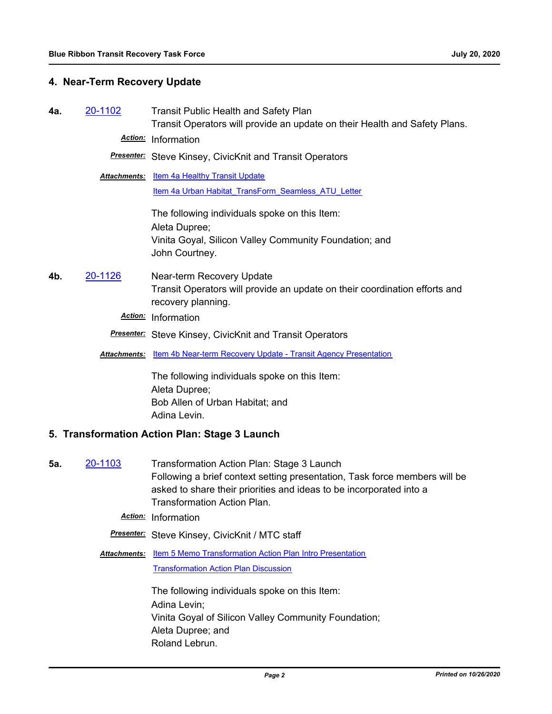## **4. Near-Term Recovery Update**

**4a.** [20-1102](http://mtc.legistar.com/gateway.aspx?m=l&id=/matter.aspx?key=20967) Transit Public Health and Safety Plan Transit Operators will provide an update on their Health and Safety Plans. *Action:* Information

*Presenter:* Steve Kinsey, CivicKnit and Transit Operators

**Attachments:** [Item 4a Healthy Transit Update](http://mtc.legistar.com/gateway.aspx?M=F&ID=c77c8163-b43b-47a7-9e45-2b271a8e3e9d.pdf) [Item 4a Urban Habitat\\_TransForm\\_Seamless\\_ATU\\_Letter](http://mtc.legistar.com/gateway.aspx?M=F&ID=8b7ea889-600f-4d34-90ba-65ec96d7dd91.pdf)

> The following individuals spoke on this Item: Aleta Dupree; Vinita Goyal, Silicon Valley Community Foundation; and John Courtney.

**4b.** [20-1126](http://mtc.legistar.com/gateway.aspx?m=l&id=/matter.aspx?key=20991) Near-term Recovery Update Transit Operators will provide an update on their coordination efforts and recovery planning.

*Action:* Information

- *Presenter:* Steve Kinsey, CivicKnit and Transit Operators
- **Attachments:** [Item 4b Near-term Recovery Update Transit Agency Presentation](http://mtc.legistar.com/gateway.aspx?M=F&ID=a952c7be-c908-4b2a-b620-49202c717a14.pdf)

The following individuals spoke on this Item: Aleta Dupree; Bob Allen of Urban Habitat; and Adina Levin.

### **5. Transformation Action Plan: Stage 3 Launch**

**5a.** [20-1103](http://mtc.legistar.com/gateway.aspx?m=l&id=/matter.aspx?key=20968) Transformation Action Plan: Stage 3 Launch Following a brief context setting presentation, Task force members will be asked to share their priorities and ideas to be incorporated into a Transformation Action Plan.

*Action:* Information

*Presenter:* Steve Kinsey, CivicKnit / MTC staff

Attachments: [Item 5 Memo Transformation Action Plan Intro Presentation](http://mtc.legistar.com/gateway.aspx?M=F&ID=66b2fb95-bdba-46c6-9b61-c93aa710bbef.pdf) [Transformation Action Plan Discussion](http://mtc.legistar.com/gateway.aspx?M=F&ID=7320ad70-1e36-4f6f-8a42-0b2cf57e285b.pdf)

> The following individuals spoke on this Item: Adina Levin; Vinita Goyal of Silicon Valley Community Foundation; Aleta Dupree; and Roland Lebrun.